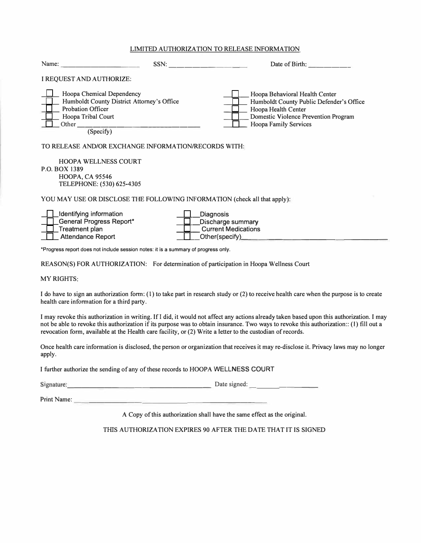#### LIMITED AUTIIORIZA TION TO RELEASE INFORMATION

|               | Name: $\qquad \qquad$<br>SSN:                                                                                                                   |                                                                                | Date of Birth:                                                                                                                                                            |
|---------------|-------------------------------------------------------------------------------------------------------------------------------------------------|--------------------------------------------------------------------------------|---------------------------------------------------------------------------------------------------------------------------------------------------------------------------|
|               | I REQUEST AND AUTHORIZE:                                                                                                                        |                                                                                |                                                                                                                                                                           |
|               | Hoopa Chemical Dependency<br>Humboldt County District Attorney's Office<br><b>Probation Officer</b><br>Hoopa Tribal Court<br>Other<br>(Specify) |                                                                                | Hoopa Behavioral Health Center<br>Humboldt County Public Defender's Office<br>Hoopa Health Center<br>Domestic Violence Prevention Program<br><b>Hoopa Family Services</b> |
|               | TO RELEASE AND/OR EXCHANGE INFORMATION/RECORDS WITH:                                                                                            |                                                                                |                                                                                                                                                                           |
| P.O. BOX 1389 | <b>HOOPA WELLNESS COURT</b><br><b>HOOPA, CA 95546</b><br>TELEPHONE: (530) 625-4305                                                              |                                                                                |                                                                                                                                                                           |
|               | YOU MAY USE OR DISCLOSE THE FOLLOWING INFORMATION (check all that apply):                                                                       |                                                                                |                                                                                                                                                                           |
|               | Identifying information<br><b>General Progress Report*</b><br><b>Treatment plan</b><br><b>Attendance Report</b>                                 | Diagnosis<br>Discharge summary<br><b>Current Medications</b><br>Other(specify) |                                                                                                                                                                           |
|               | *Progress report does not include session notes: it is a summary of progress only.                                                              |                                                                                |                                                                                                                                                                           |

REASON(S) FOR AUTHORIZATION: For determination of participation in Hoopa Wellness Court

#### MY RIGHTS:

I do have to sign an authorization form: (1) to take part in research study or (2) to receive health care when the purpose is to create health care information for a third party.

I may revoke this authorization in writing. Ifl did, it would not affect any actions already taken based upon this authorization. I may not be able to revoke this authorization if its purpose was to obtain insurance. Two ways to revoke this authorization:: (1) fill out a revocation form, available at the Health care facility, or (2) Write a letter to the custodian of records.

Once health care information is disclosed, the person or organization that receives it may re-disclose it. Privacy laws may no longer apply.

I further authorize the sending of any of these records to HOOPA WELLNESS COURT

Signature: \_\_\_\_\_\_\_\_\_\_\_\_\_\_\_\_\_\_\_ Date signed: \_ \_ \_\_\_\_\_ \_

Print Name: --------------------------

A Copy of this authorization shall have the same effect as the original.

THIS AUTHORIZATION EXPIRES 90 AFTER THE DATE THAT IT IS SIGNED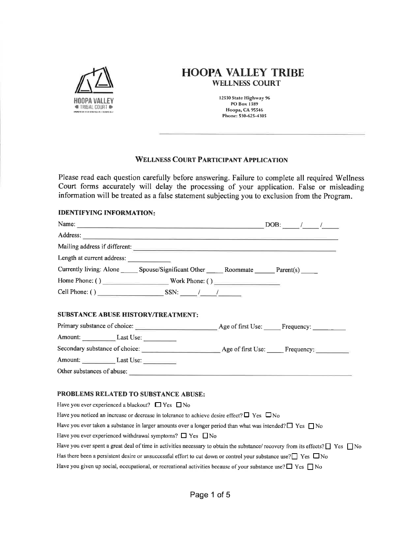

# **HOOPA VALLEY TRIBE WELLNESS COURT**

12530 State Highway 96 PO Box 1389 Hoopa, CA 95546 Phone: 530-625-4305

## **WELLNESS COURT PARTICIPANT APPLICATION**

Please read each question carefully before answering. Failure to complete all required Wellness Court forms accurately will delay the processing of your application. False or misleading information will be treated as a false statement subjecting you to exclusion from the Program.

## **IDENTIFYING INFORMATION:**

|                                           | Name: $\underline{\hspace{1cm}}$ DOB: $\underline{\hspace{1cm}}$ $\underline{\hspace{1cm}}$ $\underline{\hspace{1cm}}$ |  |  |
|-------------------------------------------|------------------------------------------------------------------------------------------------------------------------|--|--|
|                                           | Address:                                                                                                               |  |  |
|                                           |                                                                                                                        |  |  |
| Length at current address:                |                                                                                                                        |  |  |
|                                           | Currently living: Alone _______ Spouse/Significant Other _______ Roommate _______ Parent(s) ______                     |  |  |
|                                           |                                                                                                                        |  |  |
|                                           |                                                                                                                        |  |  |
| <b>SUBSTANCE ABUSE HISTORY/TREATMENT:</b> |                                                                                                                        |  |  |
|                                           | Primary substance of choice: <u>Age of first Use: Frequency:</u> Frequency:                                            |  |  |
| Amount: Last Use:                         |                                                                                                                        |  |  |
|                                           | Secondary substance of choice: Age of first Use: Frequency:                                                            |  |  |
| Amount: Last Use:                         |                                                                                                                        |  |  |
| Other substances of abuse:                |                                                                                                                        |  |  |
|                                           |                                                                                                                        |  |  |

## PROBLEMS RELATED TO SUBSTANCE ABUSE:

Have you ever experienced a blackout?  $\Box$  Yes  $\Box$  No Have you noticed an increase or decrease in tolerance to achieve desire effect?  $\Box$  Yes  $\Box$  No Have you ever taken a substance in larger amounts over a longer period than what was intended?  $\Box$  Yes  $\Box$  No Have you ever experienced withdrawal symptoms?  $\Box$  Yes  $\Box$  No Have you ever spent a great deal of time in activities necessary to obtain the substance/ recovery from its effects?  $\Box$  Yes  $\Box$  No Has there been a persistent desire or unsuccessful effort to cut down or control your substance use?  $\Box$  Yes  $\Box$  No Have you given up social, occupational, or recreational activities because of your substance use?  $\Box$  Yes  $\Box$  No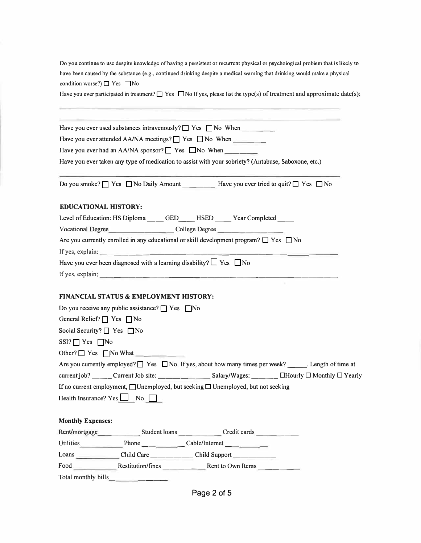**Do you continue to use despite knowledge of having a persistent or recurrent physical or psychological problem that is likely to have been caused by the substance (e.g., continued drinking despite a medical warning that drinking would make a physical**  condition worse?) **□** Yes ■ No

Have you ever participated in treatment? □ Yes □ No If yes, please list the type(s) of treatment and approximate date(s):

|                                                                                                          |                                                                                                                                                                                                                                                                                                                                                                                                      | Have you ever used substances intravenously? $\Box$ Yes $\Box$ No When                                                                                                                                                                                                                                                |
|----------------------------------------------------------------------------------------------------------|------------------------------------------------------------------------------------------------------------------------------------------------------------------------------------------------------------------------------------------------------------------------------------------------------------------------------------------------------------------------------------------------------|-----------------------------------------------------------------------------------------------------------------------------------------------------------------------------------------------------------------------------------------------------------------------------------------------------------------------|
|                                                                                                          |                                                                                                                                                                                                                                                                                                                                                                                                      | Have you ever attended AA/NA meetings? $\Box$ Yes $\Box$ No When                                                                                                                                                                                                                                                      |
|                                                                                                          |                                                                                                                                                                                                                                                                                                                                                                                                      | Have you ever had an AA/NA sponsor? $\Box$ Yes $\Box$ No When _______                                                                                                                                                                                                                                                 |
|                                                                                                          |                                                                                                                                                                                                                                                                                                                                                                                                      | Have you ever taken any type of medication to assist with your sobriety? (Antabuse, Saboxone, etc.)                                                                                                                                                                                                                   |
|                                                                                                          |                                                                                                                                                                                                                                                                                                                                                                                                      | Do you smoke? ■ Yes ■ No Daily Amount __________ Have you ever tried to quit? ■ Yes ■ No                                                                                                                                                                                                                              |
| <b>EDUCATIONAL HISTORY:</b>                                                                              |                                                                                                                                                                                                                                                                                                                                                                                                      |                                                                                                                                                                                                                                                                                                                       |
|                                                                                                          |                                                                                                                                                                                                                                                                                                                                                                                                      | Level of Education: HS Diploma _____ GED_____ HSED _____ Year Completed ____                                                                                                                                                                                                                                          |
|                                                                                                          |                                                                                                                                                                                                                                                                                                                                                                                                      |                                                                                                                                                                                                                                                                                                                       |
|                                                                                                          |                                                                                                                                                                                                                                                                                                                                                                                                      | Are you currently enrolled in any educational or skill development program? $\Box$ Yes $\Box$ No                                                                                                                                                                                                                      |
|                                                                                                          | If yes, explain: $\frac{1}{\sqrt{1-\frac{1}{2}}\sqrt{1-\frac{1}{2}}\sqrt{1-\frac{1}{2}}\sqrt{1-\frac{1}{2}}\sqrt{1-\frac{1}{2}}\sqrt{1-\frac{1}{2}}\sqrt{1-\frac{1}{2}}\sqrt{1-\frac{1}{2}}\sqrt{1-\frac{1}{2}}\sqrt{1-\frac{1}{2}}\sqrt{1-\frac{1}{2}}\sqrt{1-\frac{1}{2}}\sqrt{1-\frac{1}{2}}\sqrt{1-\frac{1}{2}}\sqrt{1-\frac{1}{2}}\sqrt{1-\frac{1}{2}}\sqrt{1-\frac{1}{2}}\sqrt{1-\frac{1}{2}}$ |                                                                                                                                                                                                                                                                                                                       |
|                                                                                                          | Have you ever been diagnosed with a learning disability? $\Box$ Yes $\Box$ No                                                                                                                                                                                                                                                                                                                        |                                                                                                                                                                                                                                                                                                                       |
|                                                                                                          |                                                                                                                                                                                                                                                                                                                                                                                                      | If yes, explain: $\frac{1}{2}$ and $\frac{1}{2}$ and $\frac{1}{2}$ and $\frac{1}{2}$ and $\frac{1}{2}$ and $\frac{1}{2}$ and $\frac{1}{2}$ and $\frac{1}{2}$ and $\frac{1}{2}$ and $\frac{1}{2}$ and $\frac{1}{2}$ and $\frac{1}{2}$ and $\frac{1}{2}$ and $\frac{1}{2}$ and $\frac{1}{2}$                            |
| General Relief? $\Box$ Yes $\Box$ No<br>Social Security? $\Box$ Yes $\Box$ No<br>$SSI? \Box Yes \Box No$ | Do you receive any public assistance? $\Box$ Yes $\Box$ No<br>Other? $\Box$ Yes $\Box$ No What $\Box$                                                                                                                                                                                                                                                                                                | Are you currently employed? $\Box$ Yes $\Box$ No. If yes, about how many times per week? Length of time at<br>current job? ______ Current Job site: ________________ Salary/Wages: ________ □Hourly □ Monthly □ Yearly<br>If no current employment, $\Box$ Unemployed, but seeking $\Box$ Unemployed, but not seeking |
|                                                                                                          | Health Insurance? $Yes \t No \t No$                                                                                                                                                                                                                                                                                                                                                                  |                                                                                                                                                                                                                                                                                                                       |
| <b>Monthly Expenses:</b>                                                                                 |                                                                                                                                                                                                                                                                                                                                                                                                      |                                                                                                                                                                                                                                                                                                                       |
|                                                                                                          |                                                                                                                                                                                                                                                                                                                                                                                                      | Rent/mortgage   _____________________Student loans  _________________Credit cards                                                                                                                                                                                                                                     |
|                                                                                                          |                                                                                                                                                                                                                                                                                                                                                                                                      | Utilities Phone Cable/Internet                                                                                                                                                                                                                                                                                        |
|                                                                                                          |                                                                                                                                                                                                                                                                                                                                                                                                      | Loans _________________Child Care ___________________Child Support ______________                                                                                                                                                                                                                                     |
|                                                                                                          |                                                                                                                                                                                                                                                                                                                                                                                                      | Food Restitution/fines Restitution Rent to Own Items                                                                                                                                                                                                                                                                  |
|                                                                                                          |                                                                                                                                                                                                                                                                                                                                                                                                      |                                                                                                                                                                                                                                                                                                                       |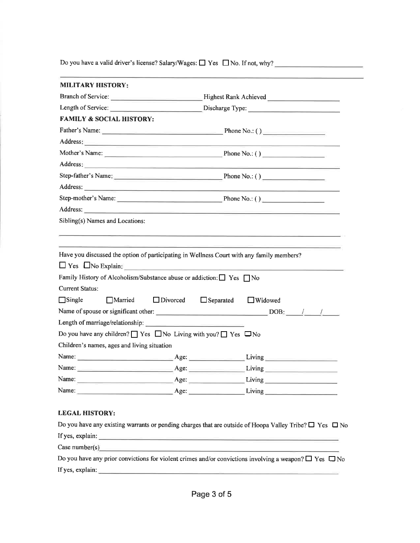Do you have a valid driver's license? Salary/Wages:  $\Box$  Yes  $\Box$  No. If not, why?

| <b>MILITARY HISTORY:</b>                    |                                                                                                                                                                                                                                |                                                                                                                                                                                                                                     |
|---------------------------------------------|--------------------------------------------------------------------------------------------------------------------------------------------------------------------------------------------------------------------------------|-------------------------------------------------------------------------------------------------------------------------------------------------------------------------------------------------------------------------------------|
|                                             |                                                                                                                                                                                                                                |                                                                                                                                                                                                                                     |
|                                             |                                                                                                                                                                                                                                |                                                                                                                                                                                                                                     |
| <b>FAMILY &amp; SOCIAL HISTORY:</b>         |                                                                                                                                                                                                                                |                                                                                                                                                                                                                                     |
|                                             |                                                                                                                                                                                                                                |                                                                                                                                                                                                                                     |
|                                             | Address: and the contract of the contract of the contract of the contract of the contract of the contract of the contract of the contract of the contract of the contract of the contract of the contract of the contract of t |                                                                                                                                                                                                                                     |
|                                             |                                                                                                                                                                                                                                |                                                                                                                                                                                                                                     |
|                                             |                                                                                                                                                                                                                                | Address: <u>New York: Address:</u> New York: New York: New York: New York: New York: New York: New York: New York: New York: New York: New York: New York: New York: New York: New York: New York: New York: New York: New York: Ne |
|                                             |                                                                                                                                                                                                                                | Step-father's Name: Phone No.: ()                                                                                                                                                                                                   |
|                                             |                                                                                                                                                                                                                                |                                                                                                                                                                                                                                     |
|                                             |                                                                                                                                                                                                                                |                                                                                                                                                                                                                                     |
|                                             |                                                                                                                                                                                                                                |                                                                                                                                                                                                                                     |
|                                             |                                                                                                                                                                                                                                |                                                                                                                                                                                                                                     |
| Sibling(s) Names and Locations:             |                                                                                                                                                                                                                                | Have you discussed the option of participating in Wellness Court with any family members?<br>Yes No Explain:                                                                                                                        |
| <b>Current Status:</b><br>$\Box$ Single     | Family History of Alcoholism/Substance abuse or addiction: $\Box$ Yes $\Box$ No<br>■ Married → Divorced → Separated → Widowed                                                                                                  |                                                                                                                                                                                                                                     |
|                                             |                                                                                                                                                                                                                                |                                                                                                                                                                                                                                     |
|                                             |                                                                                                                                                                                                                                |                                                                                                                                                                                                                                     |
|                                             | Do you have any children? $\Box$ Yes $\Box$ No Living with you? $\Box$ Yes $\Box$ No                                                                                                                                           |                                                                                                                                                                                                                                     |
| Children's names, ages and living situation |                                                                                                                                                                                                                                |                                                                                                                                                                                                                                     |
|                                             |                                                                                                                                                                                                                                |                                                                                                                                                                                                                                     |
|                                             |                                                                                                                                                                                                                                | Name: Age: Living Living Living Living Living Living Living Living Living Living Living Living Living Living Living Living Living Living Living Living Living Living Living Living Living Living Living Living Living Living L      |
|                                             |                                                                                                                                                                                                                                |                                                                                                                                                                                                                                     |

If yes, explain:  $\sqrt{\frac{1}{2} \sum_{i=1}^{n} (x_i - x_i)^2}$ 

Case number(s) example and the contract of the contract of the contract of the contract of the contract of the contract of the contract of the contract of the contract of the contract of the contract of the contract of the

|                  | Do you have any prior convictions for violent crimes and/or convictions involving a weapon? $\square$ Yes $\square$ No |  |  |  |
|------------------|------------------------------------------------------------------------------------------------------------------------|--|--|--|
| If yes, explain: |                                                                                                                        |  |  |  |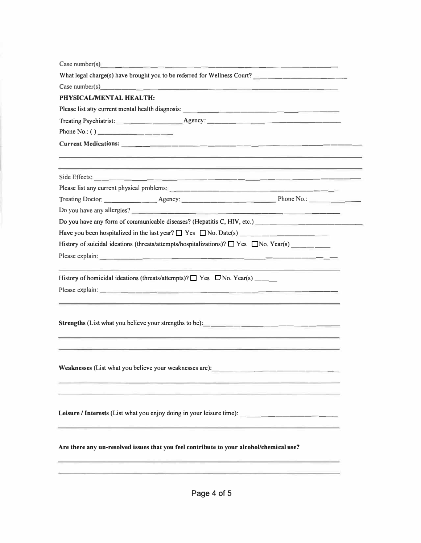|                                                         | Case number(s) $\qquad \qquad$                                                          |                                                                                                                                                                                                                                        |
|---------------------------------------------------------|-----------------------------------------------------------------------------------------|----------------------------------------------------------------------------------------------------------------------------------------------------------------------------------------------------------------------------------------|
|                                                         |                                                                                         | What legal charge(s) have brought you to be referred for Wellness Court?                                                                                                                                                               |
|                                                         |                                                                                         | Case number(s) $\qquad \qquad$                                                                                                                                                                                                         |
| <b>PHYSICAL/MENTAL HEALTH:</b>                          |                                                                                         |                                                                                                                                                                                                                                        |
|                                                         |                                                                                         |                                                                                                                                                                                                                                        |
|                                                         |                                                                                         |                                                                                                                                                                                                                                        |
|                                                         |                                                                                         |                                                                                                                                                                                                                                        |
|                                                         |                                                                                         |                                                                                                                                                                                                                                        |
|                                                         |                                                                                         | and the state of the state of the state of the state of the state of the state of the state of the state of the                                                                                                                        |
|                                                         |                                                                                         |                                                                                                                                                                                                                                        |
|                                                         |                                                                                         |                                                                                                                                                                                                                                        |
|                                                         |                                                                                         |                                                                                                                                                                                                                                        |
|                                                         |                                                                                         | Do you have any allergies?<br><u> and the contract of the contract of the contract of the contract of the contract of the contract of the contract of the contract of the contract of the contract of the contract of the contract</u> |
|                                                         |                                                                                         | Do you have any form of communicable diseases? (Hepatitis C, HIV, etc.)                                                                                                                                                                |
|                                                         |                                                                                         |                                                                                                                                                                                                                                        |
|                                                         |                                                                                         | History of suicidal ideations (threats/attempts/hospitalizations)? $\Box$ Yes $\Box$ No. Year(s) _______                                                                                                                               |
|                                                         |                                                                                         |                                                                                                                                                                                                                                        |
|                                                         | History of homicidal ideations (threats/attempts)? $\Box$ Yes $\Box$ No. Year(s) _____  |                                                                                                                                                                                                                                        |
|                                                         |                                                                                         |                                                                                                                                                                                                                                        |
|                                                         |                                                                                         | <u> 1989 - Andrea Andrew Marie Alexandria (h. 1989).</u>                                                                                                                                                                               |
|                                                         |                                                                                         |                                                                                                                                                                                                                                        |
|                                                         |                                                                                         | <u> San Barat (Alban Andreas San Barat (Alban Andreas San Barat (Alban Andreas San Barat (Alban Andreas San Bara</u>                                                                                                                   |
| Weaknesses (List what you believe your weaknesses are): |                                                                                         |                                                                                                                                                                                                                                        |
|                                                         |                                                                                         | Leisure / Interests (List what you enjoy doing in your leisure time): ______________________________                                                                                                                                   |
|                                                         | Are there any un-resolved issues that you feel contribute to your alcohol/chemical use? |                                                                                                                                                                                                                                        |
|                                                         |                                                                                         |                                                                                                                                                                                                                                        |